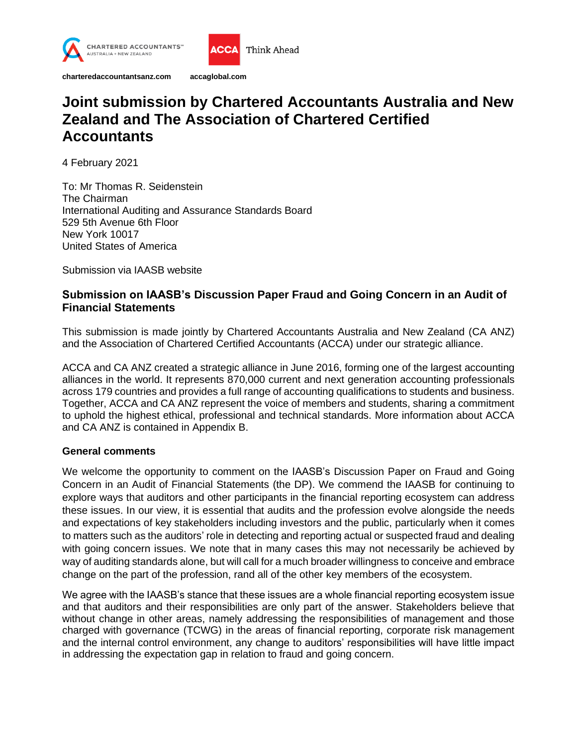

**charteredaccountantsanz.com accaglobal.com**

**ACCA** 

# **Joint submission by Chartered Accountants Australia and New Zealand and The Association of Chartered Certified Accountants**

Think Ahead

4 February 2021

To: Mr Thomas R. Seidenstein The Chairman International Auditing and Assurance Standards Board 529 5th Avenue 6th Floor New York 10017 United States of America

Submission via IAASB website

## **Submission on IAASB's Discussion Paper Fraud and Going Concern in an Audit of Financial Statements**

This submission is made jointly by Chartered Accountants Australia and New Zealand (CA ANZ) and the Association of Chartered Certified Accountants (ACCA) under our strategic alliance.

ACCA and CA ANZ created a strategic alliance in June 2016, forming one of the largest accounting alliances in the world. It represents 870,000 current and next generation accounting professionals across 179 countries and provides a full range of accounting qualifications to students and business. Together, ACCA and CA ANZ represent the voice of members and students, sharing a commitment to uphold the highest ethical, professional and technical standards. More information about ACCA and CA ANZ is contained in Appendix B.

#### **General comments**

We welcome the opportunity to comment on the IAASB's Discussion Paper on Fraud and Going Concern in an Audit of Financial Statements (the DP). We commend the IAASB for continuing to explore ways that auditors and other participants in the financial reporting ecosystem can address these issues. In our view, it is essential that audits and the profession evolve alongside the needs and expectations of key stakeholders including investors and the public, particularly when it comes to matters such as the auditors' role in detecting and reporting actual or suspected fraud and dealing with going concern issues. We note that in many cases this may not necessarily be achieved by way of auditing standards alone, but will call for a much broader willingness to conceive and embrace change on the part of the profession, rand all of the other key members of the ecosystem.

We agree with the IAASB's stance that these issues are a whole financial reporting ecosystem issue and that auditors and their responsibilities are only part of the answer. Stakeholders believe that without change in other areas, namely addressing the responsibilities of management and those charged with governance (TCWG) in the areas of financial reporting, corporate risk management and the internal control environment, any change to auditors' responsibilities will have little impact in addressing the expectation gap in relation to fraud and going concern.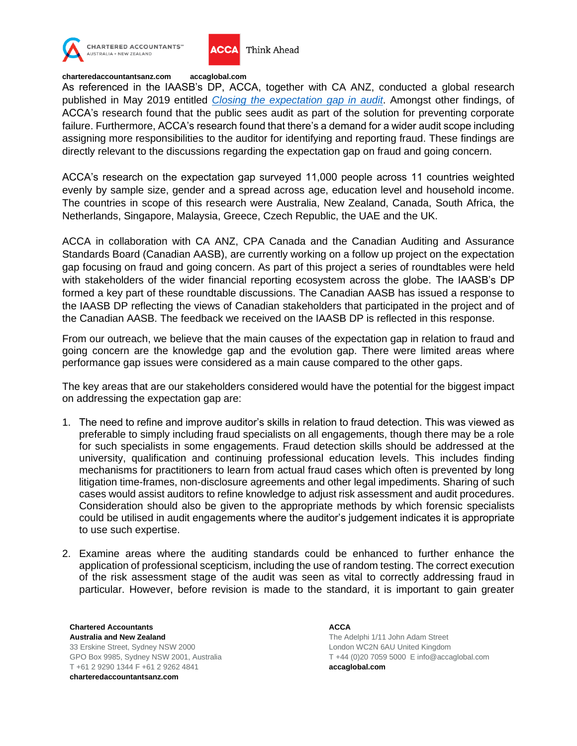



#### **charteredaccountantsanz.com accaglobal.com**

As referenced in the IAASB's DP, ACCA, together with CA ANZ, conducted a global research published in May 2019 entitled *[Closing the expectation gap in audit](https://www.accaglobal.com/in/en/professional-insights/global-profession/expectation-gap.html)*. Amongst other findings, of ACCA's research found that the public sees audit as part of the solution for preventing corporate failure. Furthermore, ACCA's research found that there's a demand for a wider audit scope including assigning more responsibilities to the auditor for identifying and reporting fraud. These findings are directly relevant to the discussions regarding the expectation gap on fraud and going concern.

ACCA's research on the expectation gap surveyed 11,000 people across 11 countries weighted evenly by sample size, gender and a spread across age, education level and household income. The countries in scope of this research were Australia, New Zealand, Canada, South Africa, the Netherlands, Singapore, Malaysia, Greece, Czech Republic, the UAE and the UK.

ACCA in collaboration with CA ANZ, CPA Canada and the Canadian Auditing and Assurance Standards Board (Canadian AASB), are currently working on a follow up project on the expectation gap focusing on fraud and going concern. As part of this project a series of roundtables were held with stakeholders of the wider financial reporting ecosystem across the globe. The IAASB's DP formed a key part of these roundtable discussions. The Canadian AASB has issued a response to the IAASB DP reflecting the views of Canadian stakeholders that participated in the project and of the Canadian AASB. The feedback we received on the IAASB DP is reflected in this response.

From our outreach, we believe that the main causes of the expectation gap in relation to fraud and going concern are the knowledge gap and the evolution gap. There were limited areas where performance gap issues were considered as a main cause compared to the other gaps.

The key areas that are our stakeholders considered would have the potential for the biggest impact on addressing the expectation gap are:

- 1. The need to refine and improve auditor's skills in relation to fraud detection. This was viewed as preferable to simply including fraud specialists on all engagements, though there may be a role for such specialists in some engagements. Fraud detection skills should be addressed at the university, qualification and continuing professional education levels. This includes finding mechanisms for practitioners to learn from actual fraud cases which often is prevented by long litigation time-frames, non-disclosure agreements and other legal impediments. Sharing of such cases would assist auditors to refine knowledge to adjust risk assessment and audit procedures. Consideration should also be given to the appropriate methods by which forensic specialists could be utilised in audit engagements where the auditor's judgement indicates it is appropriate to use such expertise.
- 2. Examine areas where the auditing standards could be enhanced to further enhance the application of professional scepticism, including the use of random testing. The correct execution of the risk assessment stage of the audit was seen as vital to correctly addressing fraud in particular. However, before revision is made to the standard, it is important to gain greater

**Chartered Accountants Australia and New Zealand** 33 Erskine Street, Sydney NSW 2000 GPO Box 9985, Sydney NSW 2001, Australia T +61 2 9290 1344 F +61 2 9262 4841 **charteredaccountantsanz.com**

**ACCA** The Adelphi 1/11 John Adam Street London WC2N 6AU United Kingdom T +44 (0)20 7059 5000 E info@accaglobal.com **accaglobal.com**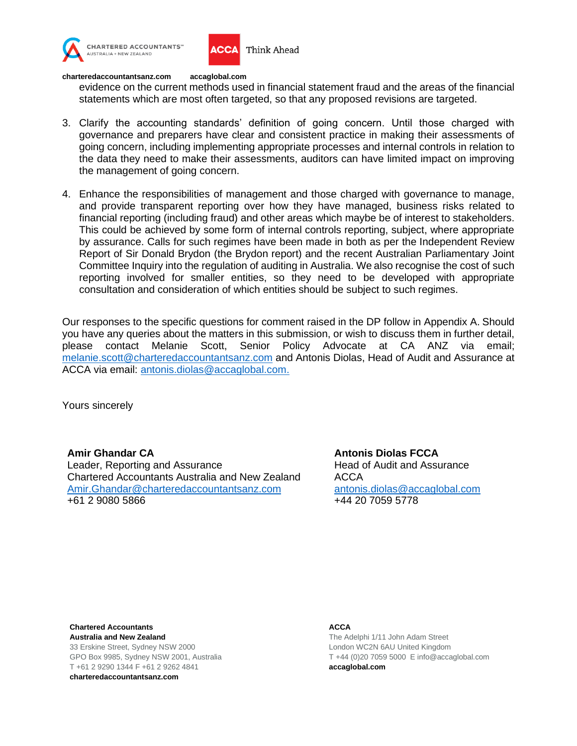



#### **charteredaccountantsanz.com accaglobal.com**

evidence on the current methods used in financial statement fraud and the areas of the financial statements which are most often targeted, so that any proposed revisions are targeted.

- 3. Clarify the accounting standards' definition of going concern. Until those charged with governance and preparers have clear and consistent practice in making their assessments of going concern, including implementing appropriate processes and internal controls in relation to the data they need to make their assessments, auditors can have limited impact on improving the management of going concern.
- 4. Enhance the responsibilities of management and those charged with governance to manage, and provide transparent reporting over how they have managed, business risks related to financial reporting (including fraud) and other areas which maybe be of interest to stakeholders. This could be achieved by some form of internal controls reporting, subject, where appropriate by assurance. Calls for such regimes have been made in both as per the Independent Review Report of Sir Donald Brydon (the Brydon report) and the recent Australian Parliamentary Joint Committee Inquiry into the regulation of auditing in Australia. We also recognise the cost of such reporting involved for smaller entities, so they need to be developed with appropriate consultation and consideration of which entities should be subject to such regimes.

Our responses to the specific questions for comment raised in the DP follow in Appendix A. Should you have any queries about the matters in this submission, or wish to discuss them in further detail, please contact Melanie Scott, Senior Policy Advocate at CA ANZ via email; [melanie.scott@charteredaccountantsanz.com](mailto:melanie.scott@charteredaccountantsanz.com) and Antonis Diolas, Head of Audit and Assurance at ACCA via email: [antonis.diolas@accaglobal.com.](mailto:antonis.diolas@accaglobal.com)

Yours sincerely

**Amir Ghandar CA** Leader, Reporting and Assurance Chartered Accountants Australia and New Zealand [Amir.Ghandar@charteredaccountantsanz.com](mailto:Amir.Ghandar@charteredaccountantsanz.com) +61 2 9080 5866

**Antonis Diolas FCCA** Head of Audit and Assurance ACCA [antonis.diolas@accaglobal.com](mailto:Maggie.Mcghee@accaglobal.com) +44 20 7059 5778

**Chartered Accountants Australia and New Zealand** 33 Erskine Street, Sydney NSW 2000 GPO Box 9985, Sydney NSW 2001, Australia T +61 2 9290 1344 F +61 2 9262 4841 **charteredaccountantsanz.com**

#### **ACCA**

The Adelphi 1/11 John Adam Street London WC2N 6AU United Kingdom T +44 (0)20 7059 5000 E info@accaglobal.com **accaglobal.com**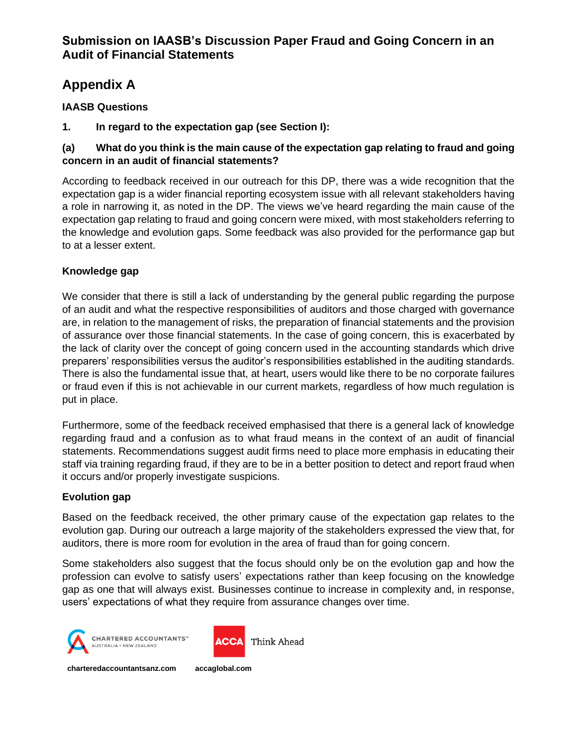# **Appendix A**

## **IAASB Questions**

**1. In regard to the expectation gap (see Section I):**

## **(a) What do you think is the main cause of the expectation gap relating to fraud and going concern in an audit of financial statements?**

According to feedback received in our outreach for this DP, there was a wide recognition that the expectation gap is a wider financial reporting ecosystem issue with all relevant stakeholders having a role in narrowing it, as noted in the DP. The views we've heard regarding the main cause of the expectation gap relating to fraud and going concern were mixed, with most stakeholders referring to the knowledge and evolution gaps. Some feedback was also provided for the performance gap but to at a lesser extent.

## **Knowledge gap**

We consider that there is still a lack of understanding by the general public regarding the purpose of an audit and what the respective responsibilities of auditors and those charged with governance are, in relation to the management of risks, the preparation of financial statements and the provision of assurance over those financial statements. In the case of going concern, this is exacerbated by the lack of clarity over the concept of going concern used in the accounting standards which drive preparers' responsibilities versus the auditor's responsibilities established in the auditing standards. There is also the fundamental issue that, at heart, users would like there to be no corporate failures or fraud even if this is not achievable in our current markets, regardless of how much regulation is put in place.

Furthermore, some of the feedback received emphasised that there is a general lack of knowledge regarding fraud and a confusion as to what fraud means in the context of an audit of financial statements. Recommendations suggest audit firms need to place more emphasis in educating their staff via training regarding fraud, if they are to be in a better position to detect and report fraud when it occurs and/or properly investigate suspicions.

#### **Evolution gap**

Based on the feedback received, the other primary cause of the expectation gap relates to the evolution gap. During our outreach a large majority of the stakeholders expressed the view that, for auditors, there is more room for evolution in the area of fraud than for going concern.

Some stakeholders also suggest that the focus should only be on the evolution gap and how the profession can evolve to satisfy users' expectations rather than keep focusing on the knowledge gap as one that will always exist. Businesses continue to increase in complexity and, in response, users' expectations of what they require from assurance changes over time.



**ACCA** Think Ahead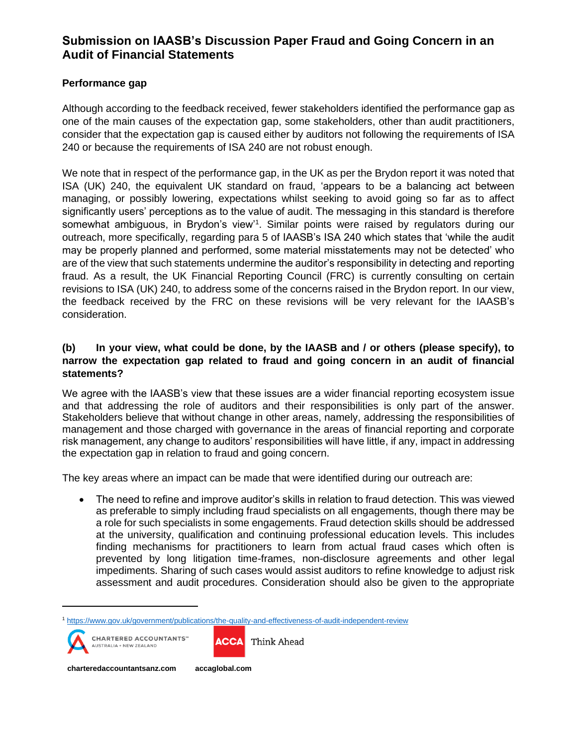## **Performance gap**

Although according to the feedback received, fewer stakeholders identified the performance gap as one of the main causes of the expectation gap, some stakeholders, other than audit practitioners, consider that the expectation gap is caused either by auditors not following the requirements of ISA 240 or because the requirements of ISA 240 are not robust enough.

We note that in respect of the performance gap, in the UK as per the Brydon report it was noted that ISA (UK) 240, the equivalent UK standard on fraud, 'appears to be a balancing act between managing, or possibly lowering, expectations whilst seeking to avoid going so far as to affect significantly users' perceptions as to the value of audit. The messaging in this standard is therefore somewhat ambiguous, in Brydon's view<sup>1</sup>. Similar points were raised by regulators during our outreach, more specifically, regarding para 5 of IAASB's ISA 240 which states that 'while the audit may be properly planned and performed, some material misstatements may not be detected' who are of the view that such statements undermine the auditor's responsibility in detecting and reporting fraud. As a result, the UK Financial Reporting Council (FRC) is currently consulting on certain revisions to ISA (UK) 240, to address some of the concerns raised in the Brydon report. In our view, the feedback received by the FRC on these revisions will be very relevant for the IAASB's consideration.

## **(b) In your view, what could be done, by the IAASB and / or others (please specify), to narrow the expectation gap related to fraud and going concern in an audit of financial statements?**

We agree with the IAASB's view that these issues are a wider financial reporting ecosystem issue and that addressing the role of auditors and their responsibilities is only part of the answer. Stakeholders believe that without change in other areas, namely, addressing the responsibilities of management and those charged with governance in the areas of financial reporting and corporate risk management, any change to auditors' responsibilities will have little, if any, impact in addressing the expectation gap in relation to fraud and going concern.

The key areas where an impact can be made that were identified during our outreach are:

• The need to refine and improve auditor's skills in relation to fraud detection. This was viewed as preferable to simply including fraud specialists on all engagements, though there may be a role for such specialists in some engagements. Fraud detection skills should be addressed at the university, qualification and continuing professional education levels. This includes finding mechanisms for practitioners to learn from actual fraud cases which often is prevented by long litigation time-frames, non-disclosure agreements and other legal impediments. Sharing of such cases would assist auditors to refine knowledge to adjust risk assessment and audit procedures. Consideration should also be given to the appropriate

<sup>1</sup> <https://www.gov.uk/government/publications/the-quality-and-effectiveness-of-audit-independent-review>



**ACCA** Think Ahead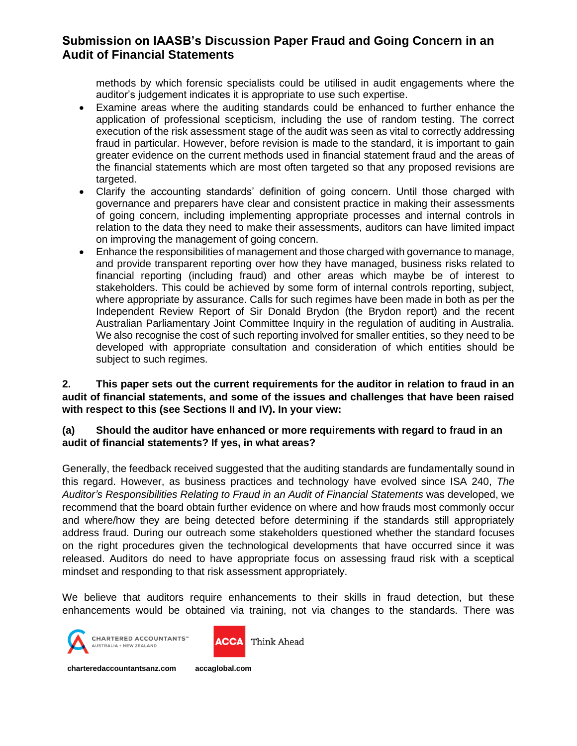methods by which forensic specialists could be utilised in audit engagements where the auditor's judgement indicates it is appropriate to use such expertise.

- Examine areas where the auditing standards could be enhanced to further enhance the application of professional scepticism, including the use of random testing. The correct execution of the risk assessment stage of the audit was seen as vital to correctly addressing fraud in particular. However, before revision is made to the standard, it is important to gain greater evidence on the current methods used in financial statement fraud and the areas of the financial statements which are most often targeted so that any proposed revisions are targeted.
- Clarify the accounting standards' definition of going concern. Until those charged with governance and preparers have clear and consistent practice in making their assessments of going concern, including implementing appropriate processes and internal controls in relation to the data they need to make their assessments, auditors can have limited impact on improving the management of going concern.
- Enhance the responsibilities of management and those charged with governance to manage, and provide transparent reporting over how they have managed, business risks related to financial reporting (including fraud) and other areas which maybe be of interest to stakeholders. This could be achieved by some form of internal controls reporting, subject, where appropriate by assurance. Calls for such regimes have been made in both as per the Independent Review Report of Sir Donald Brydon (the Brydon report) and the recent Australian Parliamentary Joint Committee Inquiry in the regulation of auditing in Australia. We also recognise the cost of such reporting involved for smaller entities, so they need to be developed with appropriate consultation and consideration of which entities should be subject to such regimes.

#### **2. This paper sets out the current requirements for the auditor in relation to fraud in an audit of financial statements, and some of the issues and challenges that have been raised with respect to this (see Sections II and IV). In your view:**

## **(a) Should the auditor have enhanced or more requirements with regard to fraud in an audit of financial statements? If yes, in what areas?**

Generally, the feedback received suggested that the auditing standards are fundamentally sound in this regard. However, as business practices and technology have evolved since ISA 240, *The Auditor's Responsibilities Relating to Fraud in an Audit of Financial Statements* was developed, we recommend that the board obtain further evidence on where and how frauds most commonly occur and where/how they are being detected before determining if the standards still appropriately address fraud. During our outreach some stakeholders questioned whether the standard focuses on the right procedures given the technological developments that have occurred since it was released. Auditors do need to have appropriate focus on assessing fraud risk with a sceptical mindset and responding to that risk assessment appropriately.

We believe that auditors require enhancements to their skills in fraud detection, but these enhancements would be obtained via training, not via changes to the standards. There was



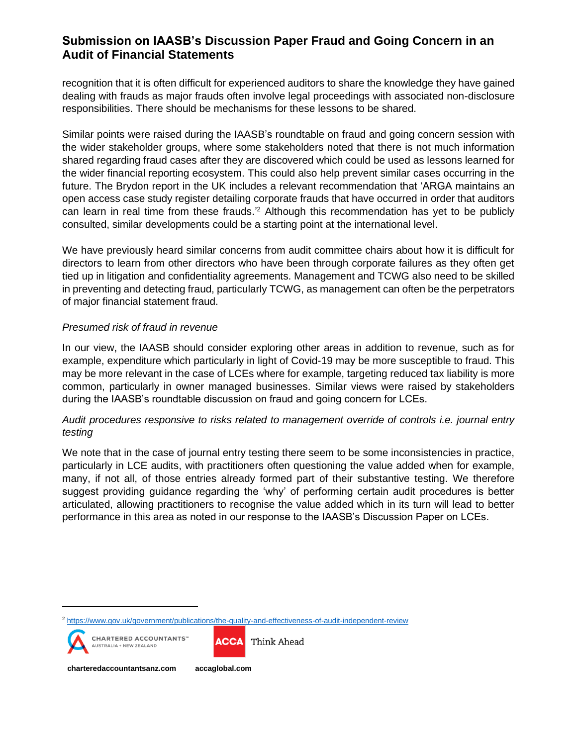recognition that it is often difficult for experienced auditors to share the knowledge they have gained dealing with frauds as major frauds often involve legal proceedings with associated non-disclosure responsibilities. There should be mechanisms for these lessons to be shared.

Similar points were raised during the IAASB's roundtable on fraud and going concern session with the wider stakeholder groups, where some stakeholders noted that there is not much information shared regarding fraud cases after they are discovered which could be used as lessons learned for the wider financial reporting ecosystem. This could also help prevent similar cases occurring in the future. The Brydon report in the UK includes a relevant recommendation that 'ARGA maintains an open access case study register detailing corporate frauds that have occurred in order that auditors can learn in real time from these frauds.' <sup>2</sup> Although this recommendation has yet to be publicly consulted, similar developments could be a starting point at the international level.

We have previously heard similar concerns from audit committee chairs about how it is difficult for directors to learn from other directors who have been through corporate failures as they often get tied up in litigation and confidentiality agreements. Management and TCWG also need to be skilled in preventing and detecting fraud, particularly TCWG, as management can often be the perpetrators of major financial statement fraud.

#### *Presumed risk of fraud in revenue*

In our view, the IAASB should consider exploring other areas in addition to revenue, such as for example, expenditure which particularly in light of Covid-19 may be more susceptible to fraud. This may be more relevant in the case of LCEs where for example, targeting reduced tax liability is more common, particularly in owner managed businesses. Similar views were raised by stakeholders during the IAASB's roundtable discussion on fraud and going concern for LCEs.

## *Audit procedures responsive to risks related to management override of controls i.e. journal entry testing*

We note that in the case of journal entry testing there seem to be some inconsistencies in practice, particularly in LCE audits, with practitioners often questioning the value added when for example, many, if not all, of those entries already formed part of their substantive testing. We therefore suggest providing guidance regarding the 'why' of performing certain audit procedures is better articulated, allowing practitioners to recognise the value added which in its turn will lead to better performance in this area as noted in our response to the IAASB's Discussion Paper on LCEs.

<sup>2</sup> <https://www.gov.uk/government/publications/the-quality-and-effectiveness-of-audit-independent-review>



**CHARTERED ACCOUNTANTS"** AUSTRALIA + NEW ZEALAND



**ACCA** Think Ahead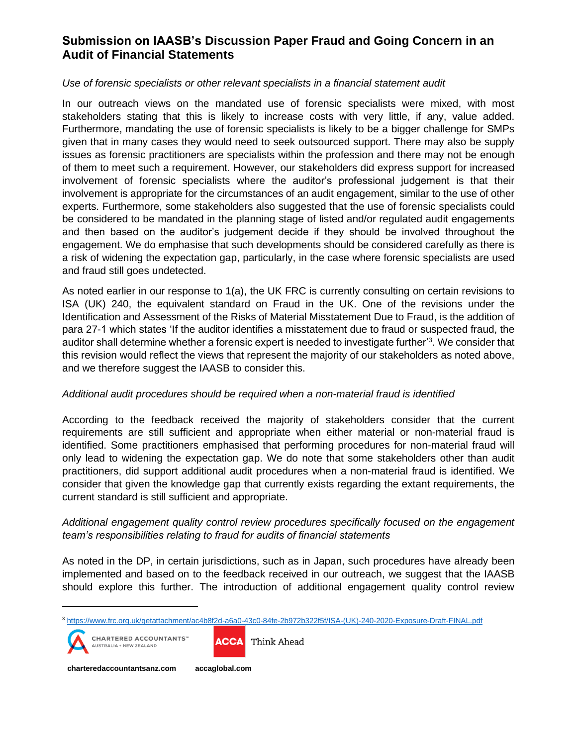#### *Use of forensic specialists or other relevant specialists in a financial statement audit*

In our outreach views on the mandated use of forensic specialists were mixed, with most stakeholders stating that this is likely to increase costs with very little, if any, value added. Furthermore, mandating the use of forensic specialists is likely to be a bigger challenge for SMPs given that in many cases they would need to seek outsourced support. There may also be supply issues as forensic practitioners are specialists within the profession and there may not be enough of them to meet such a requirement. However, our stakeholders did express support for increased involvement of forensic specialists where the auditor's professional judgement is that their involvement is appropriate for the circumstances of an audit engagement, similar to the use of other experts. Furthermore, some stakeholders also suggested that the use of forensic specialists could be considered to be mandated in the planning stage of listed and/or regulated audit engagements and then based on the auditor's judgement decide if they should be involved throughout the engagement. We do emphasise that such developments should be considered carefully as there is a risk of widening the expectation gap, particularly, in the case where forensic specialists are used and fraud still goes undetected.

As noted earlier in our response to 1(a), the UK FRC is currently consulting on certain revisions to ISA (UK) 240, the equivalent standard on Fraud in the UK. One of the revisions under the Identification and Assessment of the Risks of Material Misstatement Due to Fraud, is the addition of para 27-1 which states 'If the auditor identifies a misstatement due to fraud or suspected fraud, the auditor shall determine whether a forensic expert is needed to investigate further'<sup>3</sup>. We consider that this revision would reflect the views that represent the majority of our stakeholders as noted above, and we therefore suggest the IAASB to consider this.

#### *Additional audit procedures should be required when a non-material fraud is identified*

According to the feedback received the majority of stakeholders consider that the current requirements are still sufficient and appropriate when either material or non-material fraud is identified. Some practitioners emphasised that performing procedures for non-material fraud will only lead to widening the expectation gap. We do note that some stakeholders other than audit practitioners, did support additional audit procedures when a non-material fraud is identified. We consider that given the knowledge gap that currently exists regarding the extant requirements, the current standard is still sufficient and appropriate.

## *Additional engagement quality control review procedures specifically focused on the engagement team's responsibilities relating to fraud for audits of financial statements*

As noted in the DP, in certain jurisdictions, such as in Japan, such procedures have already been implemented and based on to the feedback received in our outreach, we suggest that the IAASB should explore this further. The introduction of additional engagement quality control review

<sup>3</sup> [https://www.frc.org.uk/getattachment/ac4b8f2d-a6a0-43c0-84fe-2b972b322f5f/ISA-\(UK\)-240-2020-Exposure-Draft-FINAL.pdf](https://www.frc.org.uk/getattachment/ac4b8f2d-a6a0-43c0-84fe-2b972b322f5f/ISA-(UK)-240-2020-Exposure-Draft-FINAL.pdf)



**CHARTERED ACCOUNTANTS**" AUSTRALIA + NEW ZEALAND



**ACCA** Think Ahead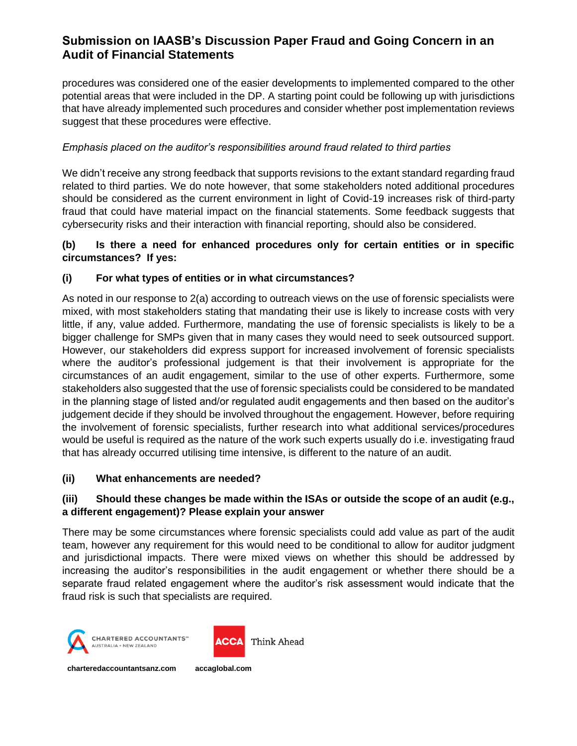procedures was considered one of the easier developments to implemented compared to the other potential areas that were included in the DP. A starting point could be following up with jurisdictions that have already implemented such procedures and consider whether post implementation reviews suggest that these procedures were effective.

## *Emphasis placed on the auditor's responsibilities around fraud related to third parties*

We didn't receive any strong feedback that supports revisions to the extant standard regarding fraud related to third parties. We do note however, that some stakeholders noted additional procedures should be considered as the current environment in light of Covid-19 increases risk of third-party fraud that could have material impact on the financial statements. Some feedback suggests that cybersecurity risks and their interaction with financial reporting, should also be considered.

## **(b) Is there a need for enhanced procedures only for certain entities or in specific circumstances? If yes:**

## **(i) For what types of entities or in what circumstances?**

As noted in our response to 2(a) according to outreach views on the use of forensic specialists were mixed, with most stakeholders stating that mandating their use is likely to increase costs with very little, if any, value added. Furthermore, mandating the use of forensic specialists is likely to be a bigger challenge for SMPs given that in many cases they would need to seek outsourced support. However, our stakeholders did express support for increased involvement of forensic specialists where the auditor's professional judgement is that their involvement is appropriate for the circumstances of an audit engagement, similar to the use of other experts. Furthermore, some stakeholders also suggested that the use of forensic specialists could be considered to be mandated in the planning stage of listed and/or regulated audit engagements and then based on the auditor's judgement decide if they should be involved throughout the engagement. However, before requiring the involvement of forensic specialists, further research into what additional services/procedures would be useful is required as the nature of the work such experts usually do i.e. investigating fraud that has already occurred utilising time intensive, is different to the nature of an audit.

## **(ii) What enhancements are needed?**

## **(iii) Should these changes be made within the ISAs or outside the scope of an audit (e.g., a different engagement)? Please explain your answer**

There may be some circumstances where forensic specialists could add value as part of the audit team, however any requirement for this would need to be conditional to allow for auditor judgment and jurisdictional impacts. There were mixed views on whether this should be addressed by increasing the auditor's responsibilities in the audit engagement or whether there should be a separate fraud related engagement where the auditor's risk assessment would indicate that the fraud risk is such that specialists are required.



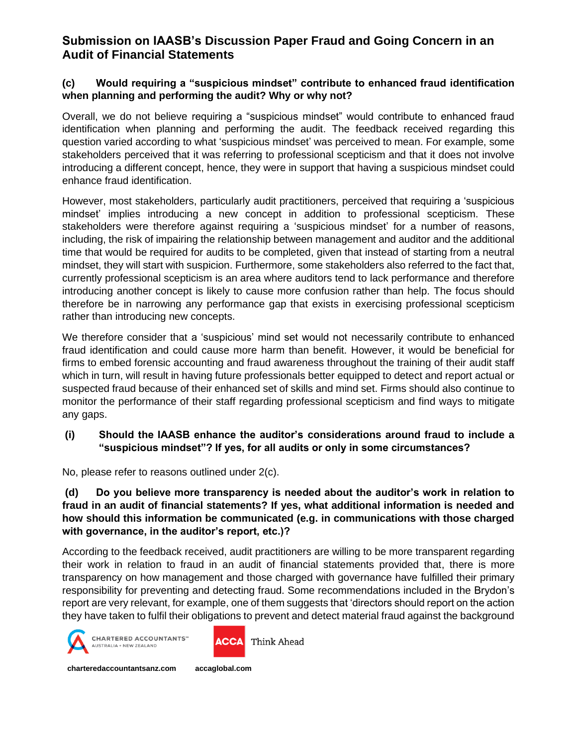## **(c) Would requiring a "suspicious mindset" contribute to enhanced fraud identification when planning and performing the audit? Why or why not?**

Overall, we do not believe requiring a "suspicious mindset" would contribute to enhanced fraud identification when planning and performing the audit. The feedback received regarding this question varied according to what 'suspicious mindset' was perceived to mean. For example, some stakeholders perceived that it was referring to professional scepticism and that it does not involve introducing a different concept, hence, they were in support that having a suspicious mindset could enhance fraud identification.

However, most stakeholders, particularly audit practitioners, perceived that requiring a 'suspicious mindset' implies introducing a new concept in addition to professional scepticism. These stakeholders were therefore against requiring a 'suspicious mindset' for a number of reasons, including, the risk of impairing the relationship between management and auditor and the additional time that would be required for audits to be completed, given that instead of starting from a neutral mindset, they will start with suspicion. Furthermore, some stakeholders also referred to the fact that, currently professional scepticism is an area where auditors tend to lack performance and therefore introducing another concept is likely to cause more confusion rather than help. The focus should therefore be in narrowing any performance gap that exists in exercising professional scepticism rather than introducing new concepts.

We therefore consider that a 'suspicious' mind set would not necessarily contribute to enhanced fraud identification and could cause more harm than benefit. However, it would be beneficial for firms to embed forensic accounting and fraud awareness throughout the training of their audit staff which in turn, will result in having future professionals better equipped to detect and report actual or suspected fraud because of their enhanced set of skills and mind set. Firms should also continue to monitor the performance of their staff regarding professional scepticism and find ways to mitigate any gaps.

**(i) Should the IAASB enhance the auditor's considerations around fraud to include a "suspicious mindset"? If yes, for all audits or only in some circumstances?**

No, please refer to reasons outlined under 2(c).

## **(d) Do you believe more transparency is needed about the auditor's work in relation to fraud in an audit of financial statements? If yes, what additional information is needed and how should this information be communicated (e.g. in communications with those charged with governance, in the auditor's report, etc.)?**

According to the feedback received, audit practitioners are willing to be more transparent regarding their work in relation to fraud in an audit of financial statements provided that, there is more transparency on how management and those charged with governance have fulfilled their primary responsibility for preventing and detecting fraud. Some recommendations included in the Brydon's report are very relevant, for example, one of them suggests that 'directors should report on the action they have taken to fulfil their obligations to prevent and detect material fraud against the background



**ACCA** Think Ahead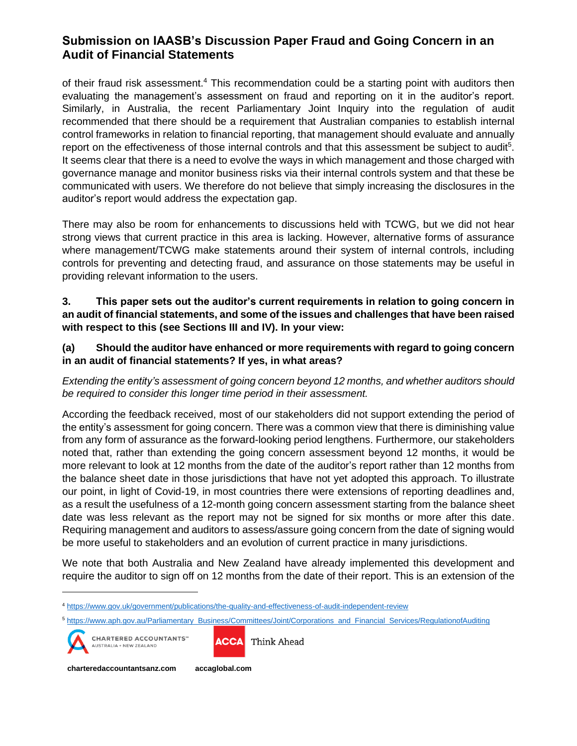of their fraud risk assessment.<sup>4</sup> This recommendation could be a starting point with auditors then evaluating the management's assessment on fraud and reporting on it in the auditor's report. Similarly, in Australia, the recent Parliamentary Joint Inquiry into the regulation of audit recommended that there should be a requirement that Australian companies to establish internal control frameworks in relation to financial reporting, that management should evaluate and annually report on the effectiveness of those internal controls and that this assessment be subject to audit<sup>5</sup>. It seems clear that there is a need to evolve the ways in which management and those charged with governance manage and monitor business risks via their internal controls system and that these be communicated with users. We therefore do not believe that simply increasing the disclosures in the auditor's report would address the expectation gap.

There may also be room for enhancements to discussions held with TCWG, but we did not hear strong views that current practice in this area is lacking. However, alternative forms of assurance where management/TCWG make statements around their system of internal controls, including controls for preventing and detecting fraud, and assurance on those statements may be useful in providing relevant information to the users.

## **3. This paper sets out the auditor's current requirements in relation to going concern in an audit of financial statements, and some of the issues and challenges that have been raised with respect to this (see Sections III and IV). In your view:**

## **(a) Should the auditor have enhanced or more requirements with regard to going concern in an audit of financial statements? If yes, in what areas?**

*Extending the entity's assessment of going concern beyond 12 months, and whether auditors should be required to consider this longer time period in their assessment.*

According the feedback received, most of our stakeholders did not support extending the period of the entity's assessment for going concern. There was a common view that there is diminishing value from any form of assurance as the forward-looking period lengthens. Furthermore, our stakeholders noted that, rather than extending the going concern assessment beyond 12 months, it would be more relevant to look at 12 months from the date of the auditor's report rather than 12 months from the balance sheet date in those jurisdictions that have not yet adopted this approach. To illustrate our point, in light of Covid-19, in most countries there were extensions of reporting deadlines and, as a result the usefulness of a 12-month going concern assessment starting from the balance sheet date was less relevant as the report may not be signed for six months or more after this date. Requiring management and auditors to assess/assure going concern from the date of signing would be more useful to stakeholders and an evolution of current practice in many jurisdictions.

We note that both Australia and New Zealand have already implemented this development and require the auditor to sign off on 12 months from the date of their report. This is an extension of the

<sup>&</sup>lt;sup>5</sup> [https://www.aph.gov.au/Parliamentary\\_Business/Committees/Joint/Corporations\\_and\\_Financial\\_Services/RegulationofAuditing](https://www.aph.gov.au/Parliamentary_Business/Committees/Joint/Corporations_and_Financial_Services/RegulationofAuditing)



**CHARTERED ACCOUNTANTS**" AUSTRALIA + NEW ZEALAND



**ACCA** Think Ahead

<sup>4</sup> <https://www.gov.uk/government/publications/the-quality-and-effectiveness-of-audit-independent-review>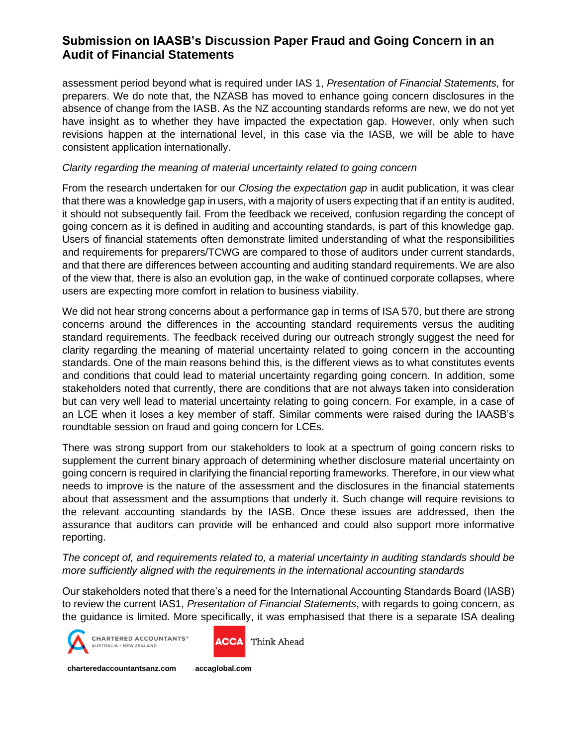assessment period beyond what is required under IAS 1, *Presentation of Financial Statements,* for preparers. We do note that, the NZASB has moved to enhance going concern disclosures in the absence of change from the IASB. As the NZ accounting standards reforms are new, we do not yet have insight as to whether they have impacted the expectation gap. However, only when such revisions happen at the international level, in this case via the IASB, we will be able to have consistent application internationally.

#### *Clarity regarding the meaning of material uncertainty related to going concern*

From the research undertaken for our *Closing the expectation gap* in audit publication, it was clear that there was a knowledge gap in users, with a majority of users expecting that if an entity is audited, it should not subsequently fail. From the feedback we received, confusion regarding the concept of going concern as it is defined in auditing and accounting standards, is part of this knowledge gap. Users of financial statements often demonstrate limited understanding of what the responsibilities and requirements for preparers/TCWG are compared to those of auditors under current standards, and that there are differences between accounting and auditing standard requirements. We are also of the view that, there is also an evolution gap, in the wake of continued corporate collapses, where users are expecting more comfort in relation to business viability.

We did not hear strong concerns about a performance gap in terms of ISA 570, but there are strong concerns around the differences in the accounting standard requirements versus the auditing standard requirements. The feedback received during our outreach strongly suggest the need for clarity regarding the meaning of material uncertainty related to going concern in the accounting standards. One of the main reasons behind this, is the different views as to what constitutes events and conditions that could lead to material uncertainty regarding going concern. In addition, some stakeholders noted that currently, there are conditions that are not always taken into consideration but can very well lead to material uncertainty relating to going concern. For example, in a case of an LCE when it loses a key member of staff. Similar comments were raised during the IAASB's roundtable session on fraud and going concern for LCEs.

There was strong support from our stakeholders to look at a spectrum of going concern risks to supplement the current binary approach of determining whether disclosure material uncertainty on going concern is required in clarifying the financial reporting frameworks. Therefore, in our view what needs to improve is the nature of the assessment and the disclosures in the financial statements about that assessment and the assumptions that underly it. Such change will require revisions to the relevant accounting standards by the IASB. Once these issues are addressed, then the assurance that auditors can provide will be enhanced and could also support more informative reporting.

#### *The concept of, and requirements related to, a material uncertainty in auditing standards should be more sufficiently aligned with the requirements in the international accounting standards*

Our stakeholders noted that there's a need for the International Accounting Standards Board (IASB) to review the current IAS1, *Presentation of Financial Statements*, with regards to going concern, as the guidance is limited. More specifically, it was emphasised that there is a separate ISA dealing



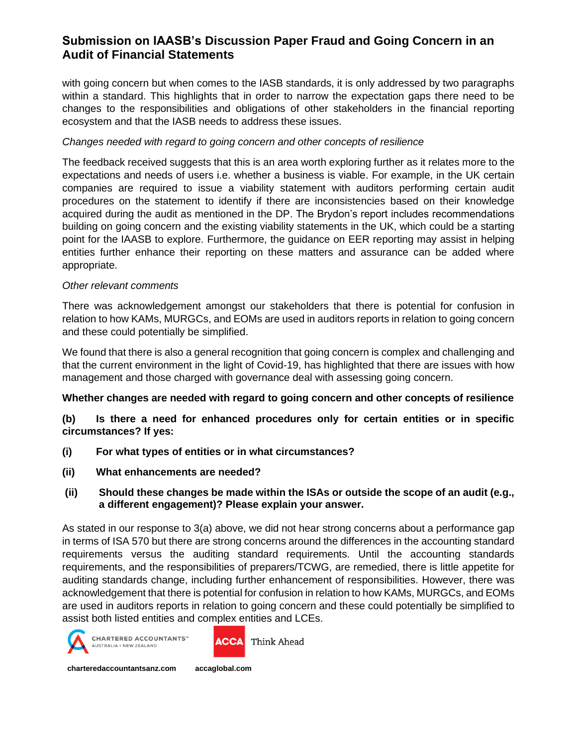with going concern but when comes to the IASB standards, it is only addressed by two paragraphs within a standard. This highlights that in order to narrow the expectation gaps there need to be changes to the responsibilities and obligations of other stakeholders in the financial reporting ecosystem and that the IASB needs to address these issues.

## *Changes needed with regard to going concern and other concepts of resilience*

The feedback received suggests that this is an area worth exploring further as it relates more to the expectations and needs of users i.e. whether a business is viable. For example, in the UK certain companies are required to issue a viability statement with auditors performing certain audit procedures on the statement to identify if there are inconsistencies based on their knowledge acquired during the audit as mentioned in the DP. The Brydon's report includes recommendations building on going concern and the existing viability statements in the UK, which could be a starting point for the IAASB to explore. Furthermore, the guidance on EER reporting may assist in helping entities further enhance their reporting on these matters and assurance can be added where appropriate.

#### *Other relevant comments*

There was acknowledgement amongst our stakeholders that there is potential for confusion in relation to how KAMs, MURGCs, and EOMs are used in auditors reports in relation to going concern and these could potentially be simplified.

We found that there is also a general recognition that going concern is complex and challenging and that the current environment in the light of Covid-19, has highlighted that there are issues with how management and those charged with governance deal with assessing going concern.

#### **Whether changes are needed with regard to going concern and other concepts of resilience**

**(b) Is there a need for enhanced procedures only for certain entities or in specific circumstances? If yes:**

- **(i) For what types of entities or in what circumstances?**
- **(ii) What enhancements are needed?**
- **(ii) Should these changes be made within the ISAs or outside the scope of an audit (e.g., a different engagement)? Please explain your answer.**

As stated in our response to 3(a) above, we did not hear strong concerns about a performance gap in terms of ISA 570 but there are strong concerns around the differences in the accounting standard requirements versus the auditing standard requirements. Until the accounting standards requirements, and the responsibilities of preparers/TCWG, are remedied, there is little appetite for auditing standards change, including further enhancement of responsibilities. However, there was acknowledgement that there is potential for confusion in relation to how KAMs, MURGCs, and EOMs are used in auditors reports in relation to going concern and these could potentially be simplified to assist both listed entities and complex entities and LCEs.



**ACCA** Think Ahead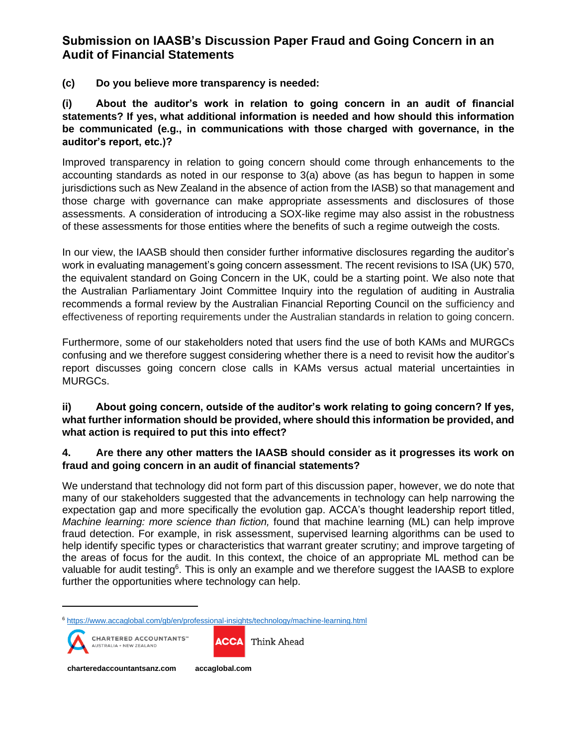**(c) Do you believe more transparency is needed:**

**(i) About the auditor's work in relation to going concern in an audit of financial statements? If yes, what additional information is needed and how should this information be communicated (e.g., in communications with those charged with governance, in the auditor's report, etc.)?**

Improved transparency in relation to going concern should come through enhancements to the accounting standards as noted in our response to 3(a) above (as has begun to happen in some jurisdictions such as New Zealand in the absence of action from the IASB) so that management and those charge with governance can make appropriate assessments and disclosures of those assessments. A consideration of introducing a SOX-like regime may also assist in the robustness of these assessments for those entities where the benefits of such a regime outweigh the costs.

In our view, the IAASB should then consider further informative disclosures regarding the auditor's work in evaluating management's going concern assessment. The recent revisions to ISA (UK) 570, the equivalent standard on Going Concern in the UK, could be a starting point. We also note that the Australian Parliamentary Joint Committee Inquiry into the regulation of auditing in Australia recommends a formal review by the Australian Financial Reporting Council on the sufficiency and effectiveness of reporting requirements under the Australian standards in relation to going concern.

Furthermore, some of our stakeholders noted that users find the use of both KAMs and MURGCs confusing and we therefore suggest considering whether there is a need to revisit how the auditor's report discusses going concern close calls in KAMs versus actual material uncertainties in MURGCs.

## **ii) About going concern, outside of the auditor's work relating to going concern? If yes, what further information should be provided, where should this information be provided, and what action is required to put this into effect?**

## **4. Are there any other matters the IAASB should consider as it progresses its work on fraud and going concern in an audit of financial statements?**

We understand that technology did not form part of this discussion paper, however, we do note that many of our stakeholders suggested that the advancements in technology can help narrowing the expectation gap and more specifically the evolution gap. ACCA's thought leadership report titled, *Machine learning: more science than fiction,* found that machine learning (ML) can help improve fraud detection. For example, in risk assessment, supervised learning algorithms can be used to help identify specific types or characteristics that warrant greater scrutiny; and improve targeting of the areas of focus for the audit. In this context, the choice of an appropriate ML method can be valuable for audit testing<sup>6</sup>. This is only an example and we therefore suggest the IAASB to explore further the opportunities where technology can help.

<sup>6</sup> <https://www.accaglobal.com/gb/en/professional-insights/technology/machine-learning.html>



**ACCA** Think Ahead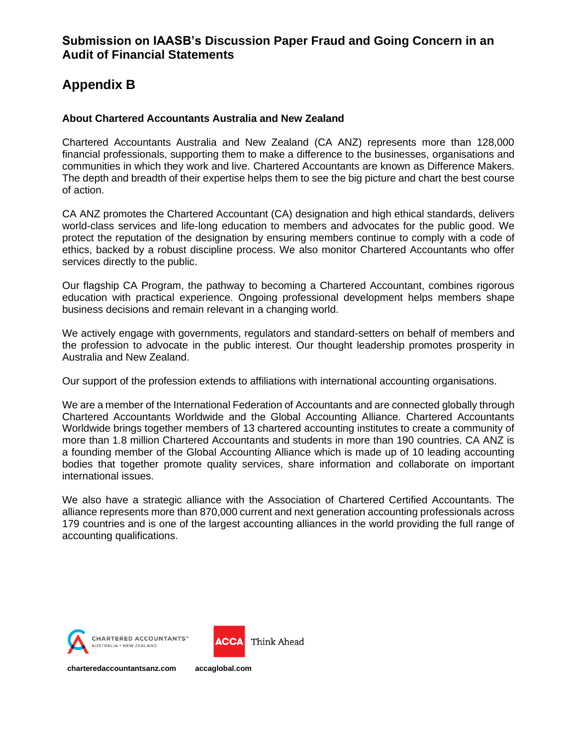# **Appendix B**

## **About Chartered Accountants Australia and New Zealand**

Chartered Accountants Australia and New Zealand (CA ANZ) represents more than 128,000 financial professionals, supporting them to make a difference to the businesses, organisations and communities in which they work and live. Chartered Accountants are known as Difference Makers. The depth and breadth of their expertise helps them to see the big picture and chart the best course of action.

CA ANZ promotes the Chartered Accountant (CA) designation and high ethical standards, delivers world-class services and life-long education to members and advocates for the public good. We protect the reputation of the designation by ensuring members continue to comply with a code of ethics, backed by a robust discipline process. We also monitor Chartered Accountants who offer services directly to the public.

Our flagship CA Program, the pathway to becoming a Chartered Accountant, combines rigorous education with practical experience. Ongoing professional development helps members shape business decisions and remain relevant in a changing world.

We actively engage with governments, regulators and standard-setters on behalf of members and the profession to advocate in the public interest. Our thought leadership promotes prosperity in Australia and New Zealand.

Our support of the profession extends to affiliations with international accounting organisations.

We are a member of the International Federation of Accountants and are connected globally through Chartered Accountants Worldwide and the Global Accounting Alliance. Chartered Accountants Worldwide brings together members of 13 chartered accounting institutes to create a community of more than 1.8 million Chartered Accountants and students in more than 190 countries. CA ANZ is a founding member of the Global Accounting Alliance which is made up of 10 leading accounting bodies that together promote quality services, share information and collaborate on important international issues.

We also have a strategic alliance with the Association of Chartered Certified Accountants. The alliance represents more than 870,000 current and next generation accounting professionals across 179 countries and is one of the largest accounting alliances in the world providing the full range of accounting qualifications.